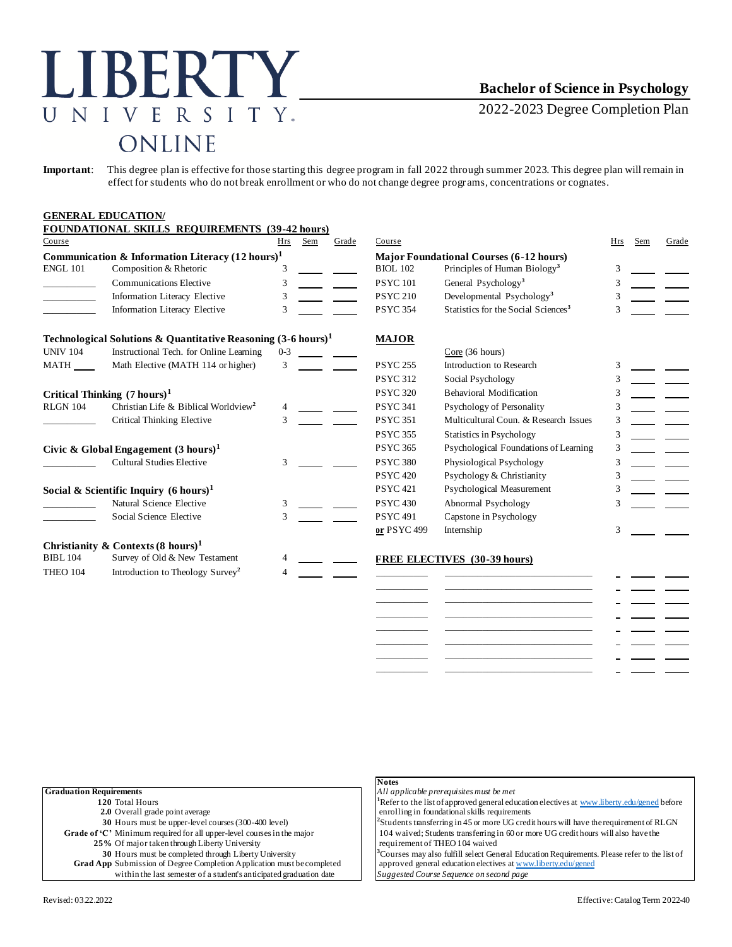# LIBERTY NIVERSITY.  $\overline{U}$ ONLINE

# **Bachelor of Science in Psychology**

2022-2023 Degree Completion Plan

**Important**: This degree plan is effective for those starting this degree program in fall 2022 through summer 2023. This degree plan will remain in effect for students who do not break enrollment or who do not change degree progr ams, concentrations or cognates.

#### **GENERAL EDUCATION/**

|                                                             | FOUNDATIONAL SKILLS REQUIREMENTS (39-42 hours)                           |              |     |       |                                                |                                                 |            |     |       |
|-------------------------------------------------------------|--------------------------------------------------------------------------|--------------|-----|-------|------------------------------------------------|-------------------------------------------------|------------|-----|-------|
| Course                                                      |                                                                          | Hrs          | Sem | Grade | Course                                         |                                                 | <b>Hrs</b> | Sem | Grade |
| Communication & Information Literacy $(12 \text{ hours})^1$ |                                                                          |              |     |       | <b>Major Foundational Courses (6-12 hours)</b> |                                                 |            |     |       |
| <b>ENGL 101</b>                                             | Composition & Rhetoric                                                   |              |     |       | <b>BIOL 102</b>                                | Principles of Human Biology <sup>3</sup>        | 3          |     |       |
|                                                             | <b>Communications Elective</b>                                           | 3            |     |       | <b>PSYC101</b>                                 | General Psychology <sup>3</sup>                 | 3          |     |       |
|                                                             | Information Literacy Elective                                            | 3            |     |       | <b>PSYC 210</b>                                | Developmental Psychology <sup>3</sup>           |            |     |       |
|                                                             | Information Literacy Elective                                            | 3            |     |       | <b>PSYC 354</b>                                | Statistics for the Social Sciences <sup>3</sup> |            |     |       |
|                                                             | Technological Solutions & Quantitative Reasoning $(3-6 \text{ hours})^1$ |              |     |       | <b>MAJOR</b>                                   |                                                 |            |     |       |
| <b>UNIV 104</b>                                             | Instructional Tech. for Online Learning                                  | $0 - 3$      |     |       |                                                | Core (36 hours)                                 |            |     |       |
| <b>MATH</b>                                                 | Math Elective (MATH 114 or higher)                                       | $\mathbf{3}$ |     |       | <b>PSYC 255</b>                                | Introduction to Research                        | 3          |     |       |
|                                                             |                                                                          |              |     |       | <b>PSYC 312</b>                                | Social Psychology                               |            |     |       |
| Critical Thinking $(7 \text{ hours})^1$                     |                                                                          |              |     |       | <b>PSYC 320</b>                                | <b>Behavioral Modification</b>                  |            |     |       |
| <b>RLGN 104</b>                                             | Christian Life & Biblical Worldview <sup>2</sup>                         |              |     |       | <b>PSYC 341</b>                                | Psychology of Personality                       |            |     |       |
|                                                             | <b>Critical Thinking Elective</b>                                        | 3            |     |       | <b>PSYC 351</b>                                | Multicultural Coun. & Research Issues           |            |     |       |
|                                                             |                                                                          |              |     |       | <b>PSYC 355</b>                                | <b>Statistics in Psychology</b>                 | 3          |     |       |
| Civic & Global Engagement $(3 \text{ hours})^1$             |                                                                          |              |     |       | <b>PSYC 365</b>                                | Psychological Foundations of Learning           | 3          |     |       |
|                                                             | <b>Cultural Studies Elective</b>                                         | 3            |     |       | <b>PSYC 380</b>                                | Physiological Psychology                        |            |     |       |
|                                                             |                                                                          |              |     |       | <b>PSYC 420</b>                                | Psychology & Christianity                       |            |     |       |
| Social & Scientific Inquiry $(6 \text{ hours})^1$           |                                                                          |              |     |       | <b>PSYC 421</b>                                | Psychological Measurement                       |            |     |       |
|                                                             | Natural Science Elective                                                 | 3            |     |       | <b>PSYC 430</b>                                | Abnormal Psychology                             |            |     |       |
|                                                             | Social Science Elective                                                  | 3            |     |       | <b>PSYC 491</b>                                | Capstone in Psychology                          |            |     |       |
|                                                             |                                                                          |              |     |       | or PSYC 499                                    | Internship                                      | 3          |     |       |
|                                                             | Christianity & Contexts $(8 \text{ hours})^1$                            |              |     |       |                                                |                                                 |            |     |       |
| <b>BIBL 104</b>                                             | Survey of Old & New Testament                                            |              |     |       |                                                | FREE ELECTIVES (30-39 hours)                    |            |     |       |
| <b>THEO 104</b>                                             | Introduction to Theology Survey <sup>2</sup>                             |              |     |       |                                                |                                                 |            |     |       |
|                                                             |                                                                          |              |     |       |                                                |                                                 |            |     |       |

| <b>Notes</b>                                                                                             |  |  |  |
|----------------------------------------------------------------------------------------------------------|--|--|--|
| All applicable prerequisites must be met                                                                 |  |  |  |
| <sup>1</sup> Refer to the list of approved general education electives at www.liberty.edu/gened before   |  |  |  |
| enrolling in foundational skills requirements                                                            |  |  |  |
| $\frac{1}{2}$ Students transferring in 45 or more UG credit hours will have the requirement of RLGN      |  |  |  |
| 104 waived; Students transferring in 60 or more UG credit hours will also have the                       |  |  |  |
| requirement of THEO 104 waived                                                                           |  |  |  |
| <sup>3</sup> Courses may also fulfill select General Education Requirements. Please refer to the list of |  |  |  |
| approved general education electives at www.liberty.edu/gened                                            |  |  |  |
| Suggested Course Sequence on second page                                                                 |  |  |  |
|                                                                                                          |  |  |  |

| All applicable prerequisites must be met                                                                 |
|----------------------------------------------------------------------------------------------------------|
| <sup>1</sup> Refer to the list of approved general education electives at www.liberty.edu/gened before   |
| enrolling in foundational skills requirements                                                            |
| <sup>2</sup> Students transferring in 45 or more UG credit hours will have the requirement of RLGN       |
| 104 waived; Students transferring in 60 or more UG credit hours will also have the                       |
| requirement of THEO 104 waived                                                                           |
| <sup>3</sup> Courses may also fulfill select General Education Requirements. Please refer to the list of |
| approved general education electives at www.liberty.edu/gened                                            |
| Suggested Course Sequence on second page                                                                 |

\_\_\_\_\_\_\_\_\_\_\_ \_\_\_\_\_\_\_\_\_\_\_\_\_\_\_\_\_\_\_\_\_\_\_\_\_\_\_\_\_\_\_ \_\_\_\_\_\_\_\_\_\_\_ \_\_\_\_\_\_\_\_\_\_\_\_\_\_\_\_\_\_\_\_\_\_\_\_\_\_\_\_\_\_\_ \_\_\_\_\_\_\_\_\_\_\_ \_\_\_\_\_\_\_\_\_\_\_\_\_\_\_\_\_\_\_\_\_\_\_\_\_\_\_\_\_\_\_ \_\_\_\_\_\_\_\_\_\_\_ \_\_\_\_\_\_\_\_\_\_\_\_\_\_\_\_\_\_\_\_\_\_\_\_\_\_\_\_\_\_\_ \_\_\_\_\_\_\_\_\_\_\_ \_\_\_\_\_\_\_\_\_\_\_\_\_\_\_\_\_\_\_\_\_\_\_\_\_\_\_\_\_\_\_